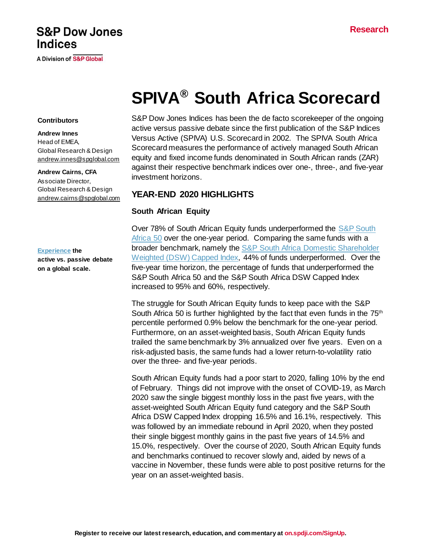### **Research**

## **S&P Dow Jones Indices**

**A Division of S&P Global** 

# **SPIVA® South Africa Scorecard**

#### **Contributors**

**Andrew Innes** Head of EMEA, Global Research & Design [andrew.innes@spglobal.com](mailto:andrew.innes@spglobal.com)

#### **Andrew Cairns, CFA**

Associate Director, Global Research & Design [andrew.cairns@spglobal.com](mailto:andrew.cairns@spglobal.com)

#### **[Experience](https://www.spglobal.com/spdji/en/research-insights/spiva/) the**

**active vs. passive debate on a global scale.**

S&P Dow Jones Indices has been the de facto scorekeeper of the ongoing active versus passive debate since the first publication of the S&P Indices Versus Active (SPIVA) U.S. Scorecard in 2002. The SPIVA South Africa Scorecard measures the performance of actively managed South African equity and fixed income funds denominated in South African rands (ZAR) against their respective benchmark indices over one-, three-, and five-year investment horizons.

## **YEAR-END 2020 HIGHLIGHTS**

#### **South African Equity**

Over 78% of South African Equity funds underperformed the [S&P South](https://www.spglobal.com/spdji/en/indices/equity/sp-south-africa-50/#overview) [Africa 50](https://www.spglobal.com/spdji/en/indices/equity/sp-south-africa-50/#overview) over the one-year period. Comparing the same funds with a broader benchmark, namely the [S&P South Africa Domestic](https://www.spglobal.com/spdji/en/indices/equity/sp-south-africa-domestic-shareholder-weighted-dsw-capped-index/) Shareholder [Weighted \(DSW\) Capped Index,](https://www.spglobal.com/spdji/en/indices/equity/sp-south-africa-domestic-shareholder-weighted-dsw-capped-index/) 44% of funds underperformed. Over the five-year time horizon, the percentage of funds that underperformed the S&P South Africa 50 and the S&P South Africa DSW Capped Index increased to 95% and 60%, respectively.

The struggle for South African Equity funds to keep pace with the S&P South Africa 50 is further highlighted by the fact that even funds in the 75<sup>th</sup> percentile performed 0.9% below the benchmark for the one-year period. Furthermore, on an asset-weighted basis, South African Equity funds trailed the same benchmark by 3% annualized over five years. Even on a risk-adjusted basis, the same funds had a lower return-to-volatility ratio over the three- and five-year periods.

South African Equity funds had a poor start to 2020, falling 10% by the end of February. Things did not improve with the onset of COVID-19, as March 2020 saw the single biggest monthly loss in the past five years, with the asset-weighted South African Equity fund category and the S&P South Africa DSW Capped Index dropping 16.5% and 16.1%, respectively. This was followed by an immediate rebound in April 2020, when they posted their single biggest monthly gains in the past five years of 14.5% and 15.0%, respectively. Over the course of 2020, South African Equity funds and benchmarks continued to recover slowly and, aided by news of a vaccine in November, these funds were able to post positive returns for the year on an asset-weighted basis.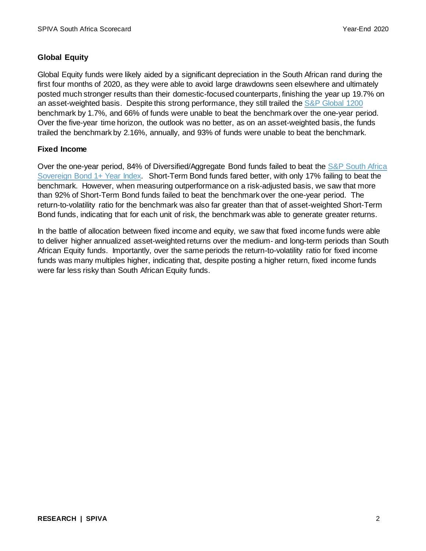## **Global Equity**

Global Equity funds were likely aided by a significant depreciation in the South African rand during the first four months of 2020, as they were able to avoid large drawdowns seen elsewhere and ultimately posted much stronger results than their domestic-focused counterparts, finishing the year up 19.7% on an asset-weighted basis. Despite this strong performance, they still trailed th[e S&P Global 1200](https://www.spglobal.com/spdji/en/indices/equity/sp-global-1200/) benchmark by 1.7%, and 66% of funds were unable to beat the benchmark over the one-year period. Over the five-year time horizon, the outlook was no better, as on an asset-weighted basis, the funds trailed the benchmark by 2.16%, annually, and 93% of funds were unable to beat the benchmark.

## **Fixed Income**

Over the one-year period, 84% of Diversified/Aggregate Bond funds failed to beat the [S&P South Africa](https://www.spglobal.com/spdji/en/indices/fixed-income/sp-south-africa-sovereign-bond-1-year-index/#overview)  [Sovereign Bond 1+ Year Index.](https://www.spglobal.com/spdji/en/indices/fixed-income/sp-south-africa-sovereign-bond-1-year-index/#overview) Short-Term Bond funds fared better, with only 17% failing to beat the benchmark. However, when measuring outperformance on a risk-adjusted basis, we saw that more than 92% of Short-Term Bond funds failed to beat the benchmark over the one-year period. The return-to-volatility ratio for the benchmark was also far greater than that of asset-weighted Short-Term Bond funds, indicating that for each unit of risk, the benchmark was able to generate greater returns.

In the battle of allocation between fixed income and equity, we saw that fixed income funds were able to deliver higher annualized asset-weighted returns over the medium- and long-term periods than South African Equity funds. Importantly, over the same periods the return-to-volatility ratio for fixed income funds was many multiples higher, indicating that, despite posting a higher return, fixed income funds were far less risky than South African Equity funds.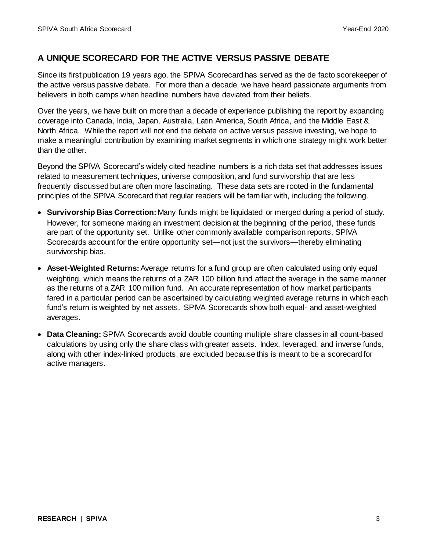## **A UNIQUE SCORECARD FOR THE ACTIVE VERSUS PASSIVE DEBATE**

Since its first publication 19 years ago, the SPIVA Scorecard has served as the de facto scorekeeper of the active versus passive debate. For more than a decade, we have heard passionate arguments from believers in both camps when headline numbers have deviated from their beliefs.

Over the years, we have built on more than a decade of experience publishing the report by expanding coverage into Canada, India, Japan, Australia, Latin America, South Africa, and the Middle East & North Africa. While the report will not end the debate on active versus passive investing, we hope to make a meaningful contribution by examining market segments in which one strategy might work better than the other.

Beyond the SPIVA Scorecard's widely cited headline numbers is a rich data set that addresses issues related to measurement techniques, universe composition, and fund survivorship that are less frequently discussed but are often more fascinating. These data sets are rooted in the fundamental principles of the SPIVA Scorecard that regular readers will be familiar with, including the following.

- **Survivorship Bias Correction:** Many funds might be liquidated or merged during a period of study. However, for someone making an investment decision at the beginning of the period, these funds are part of the opportunity set. Unlike other commonly available comparison reports, SPIVA Scorecards account for the entire opportunity set—not just the survivors—thereby eliminating survivorship bias.
- **Asset-Weighted Returns:**Average returns for a fund group are often calculated using only equal weighting, which means the returns of a ZAR 100 billion fund affect the average in the same manner as the returns of a ZAR 100 million fund. An accurate representation of how market participants fared in a particular period can be ascertained by calculating weighted average returns in which each fund's return is weighted by net assets. SPIVA Scorecards show both equal- and asset-weighted averages.
- **Data Cleaning:** SPIVA Scorecards avoid double counting multiple share classes in all count-based calculations by using only the share class with greater assets. Index, leveraged, and inverse funds, along with other index-linked products, are excluded because this is meant to be a scorecard for active managers.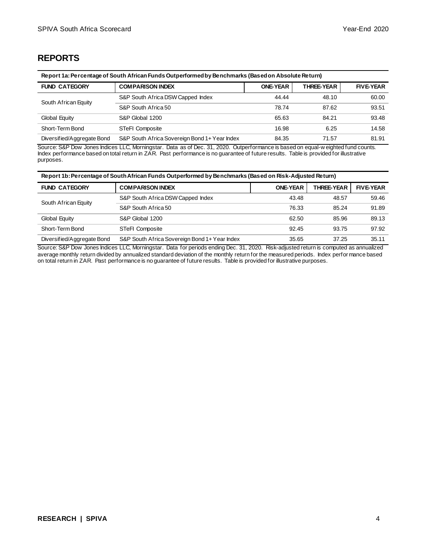## **REPORTS**

| Report 1a: Percentage of South African Funds Outperformed by Benchmarks (Based on Absolute Return) |                                   |                 |                   |                  |  |  |
|----------------------------------------------------------------------------------------------------|-----------------------------------|-----------------|-------------------|------------------|--|--|
| <b>COMPARISON INDEX</b><br><b>FUND CATEGORY</b>                                                    |                                   | <b>ONE-YEAR</b> | <b>THREE-YEAR</b> | <b>FIVE-YEAR</b> |  |  |
| South African Equity                                                                               | S&P South Africa DSW Capped Index | 44.44           | 48.10             | 60.00            |  |  |
|                                                                                                    | S&P South Africa 50               | 78.74           | 87.62             | 93.51            |  |  |
| Global Equity<br>S&P Global 1200                                                                   |                                   | 65.63           | 84.21             | 93.48            |  |  |
| Short-Term Bond                                                                                    | <b>STeFI Composite</b>            | 16.98           | 6.25              | 14.58            |  |  |
| S&P South Africa Sovereign Bond 1+ Year Index<br>Diversified/Aggregate Bond                        |                                   | 84.35           | 71.57             | 81.91            |  |  |

Source: S&P Dow Jones Indices LLC, Morningstar. Data as of Dec. 31, 2020. Outperformance is based on equal-w eighted fund counts. Index performance based on total return in ZAR. Past performance is no guarantee of future results. Table is provided for illustrative purposes.

|  |  |  | Report 1b: Percentage of South African Funds Outperformed by Benchmarks (Based on Risk-Adjusted Return) |  |
|--|--|--|---------------------------------------------------------------------------------------------------------|--|

| <b>FUND CATEGORY</b>       | <b>COMPARISON INDEX</b>                       | <b>ONE-YEAR</b> | <b>THREE-YEAR</b> | <b>FIVE-YEAR</b> |
|----------------------------|-----------------------------------------------|-----------------|-------------------|------------------|
| South African Equity       | S&P South Africa DSW Capped Index             | 43.48           | 48.57             | 59.46            |
|                            | S&P South Africa 50                           | 76.33           | 85.24             | 91.89            |
| Global Equity              | S&P Global 1200                               | 62.50           | 85.96             | 89.13            |
| Short-Term Bond            | <b>STeFI Composite</b>                        | 92.45           | 93.75             | 97.92            |
| Diversified/Aggregate Bond | S&P South Africa Sovereign Bond 1+ Year Index | 35.65           | 37.25             | 35.11            |

Source: S&P Dow Jones Indices LLC, Morningstar. Data for periods ending Dec. 31, 2020. Risk-adjusted return is computed as annualized average monthly return divided by annualized standard deviation of the monthly return for the measured periods. Index perfor mance based on total return in ZAR. Past performance is no guarantee of future results. Table is provided for illustrative purposes.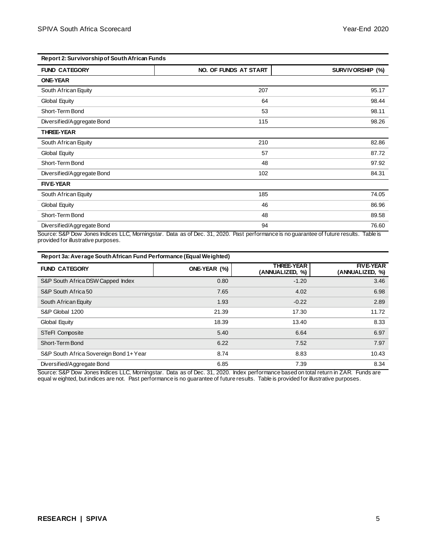| Report 2: Survivorship of South African Funds |                       |                                                                           |  |  |  |
|-----------------------------------------------|-----------------------|---------------------------------------------------------------------------|--|--|--|
| <b>FUND CATEGORY</b>                          | NO. OF FUNDS AT START | SURVIVORSHIP (%)                                                          |  |  |  |
| <b>ONE-YEAR</b>                               |                       |                                                                           |  |  |  |
| South African Equity                          | 207                   | 95.17                                                                     |  |  |  |
| Global Equity                                 | 64                    | 98.44                                                                     |  |  |  |
| Short-Term Bond                               | 53                    | 98.11                                                                     |  |  |  |
| Diversified/Aggregate Bond                    | 115                   | 98.26                                                                     |  |  |  |
| <b>THREE-YEAR</b>                             |                       |                                                                           |  |  |  |
| South African Equity                          | 210                   | 82.86                                                                     |  |  |  |
| Global Equity                                 | 57                    | 87.72                                                                     |  |  |  |
| Short-Term Bond                               | 48                    | 97.92                                                                     |  |  |  |
| Diversified/Aggregate Bond                    | 102                   | 84.31                                                                     |  |  |  |
| <b>FIVE-YEAR</b>                              |                       |                                                                           |  |  |  |
| South African Equity                          | 185                   | 74.05                                                                     |  |  |  |
| Global Equity                                 | 46                    | 86.96                                                                     |  |  |  |
| Short-Term Bond                               | 48                    | 89.58                                                                     |  |  |  |
| Diversified/Aggregate Bond                    | 94                    | 76.60<br>a ta sa a anns an an t-a a a fhruthna a sa<br>エーレー・シー<br>$-14 -$ |  |  |  |

Source: S&P Dow Jones Indices LLC, Morningstar. Data as of Dec. 31, 2020. Past performance is no guarantee of future results. Table is provided for illustrative purposes.

| Report 3a: Average South African Fund Performance (Equal Weighted) |              |                                      |                                     |  |  |
|--------------------------------------------------------------------|--------------|--------------------------------------|-------------------------------------|--|--|
| <b>FUND CATEGORY</b>                                               | ONE-YEAR (%) | <b>THREE-YEAR</b><br>(ANNUALIZED, %) | <b>FIVE-YEAR</b><br>(ANNUALIZED, %) |  |  |
| S&P South Africa DSW Capped Index                                  | 0.80         | $-1.20$                              | 3.46                                |  |  |
| S&P South Africa 50                                                | 7.65         | 4.02                                 | 6.98                                |  |  |
| South African Equity                                               | 1.93         | $-0.22$                              | 2.89                                |  |  |
| S&P Global 1200                                                    | 21.39        | 17.30                                | 11.72                               |  |  |
| Global Equity                                                      | 18.39        | 13.40                                | 8.33                                |  |  |
| <b>STeFI Composite</b>                                             | 5.40         | 6.64                                 | 6.97                                |  |  |
| Short-Term Bond                                                    | 6.22         | 7.52                                 | 7.97                                |  |  |
| S&P South Africa Sovereign Bond 1+ Year                            | 8.74         | 8.83                                 | 10.43                               |  |  |
| Diversified/Aggregate Bond                                         | 6.85         | 7.39                                 | 8.34                                |  |  |

Source: S&P Dow Jones Indices LLC, Morningstar. Data as of Dec. 31, 2020. Index performance based on total return in ZAR. Funds are equal w eighted, but indices are not. Past performance is no guarantee of future results. Table is provided for illustrative purposes.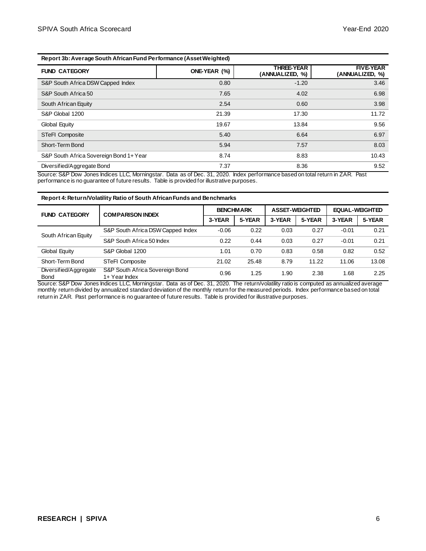#### **Report 3b: Average South African Fund Performance (Asset Weighted)**

| <b>FUND CATEGORY</b>                    | ONE-YEAR (%) | <b>THREE-YEAR</b><br>(ANNUALIZED, %) | <b>FIVE-YEAR</b><br>(ANNUALIZED, %) |
|-----------------------------------------|--------------|--------------------------------------|-------------------------------------|
| S&P South Africa DSW Capped Index       | 0.80         | $-1.20$                              | 3.46                                |
| S&P South Africa 50                     | 7.65         | 4.02                                 | 6.98                                |
| South African Equity                    | 2.54         | 0.60                                 | 3.98                                |
| S&P Global 1200                         | 21.39        | 17.30                                | 11.72                               |
| Global Equity                           | 19.67        | 13.84                                | 9.56                                |
| <b>STeFI Composite</b>                  | 5.40         | 6.64                                 | 6.97                                |
| Short-Term Bond                         | 5.94         | 7.57                                 | 8.03                                |
| S&P South Africa Sovereign Bond 1+ Year | 8.74         | 8.83                                 | 10.43                               |
| Diversified/Aggregate Bond              | 7.37         | 8.36                                 | 9.52                                |

Source: S&P Dow Jones Indices LLC, Morningstar. Data as of Dec. 31, 2020. Index performance based on total return in ZAR. Past performance is no guarantee of future results. Table is provided for illustrative purposes.

#### **Report 4: Return/Volatility Ratio of South African Funds and Benchmarks**

| <b>FUND CATEGORY</b>                 | <b>COMPARISON INDEX</b>                          | <b>BENCHMARK</b> |        | <b>ASSET-WEIGHTED</b> |        | <b>EQUAL-WEIGHTED</b> |        |
|--------------------------------------|--------------------------------------------------|------------------|--------|-----------------------|--------|-----------------------|--------|
|                                      |                                                  | 3-YEAR           | 5-YEAR | 3-YEAR                | 5-YEAR | 3-YEAR                | 5-YEAR |
| South African Equity                 | S&P South Africa DSW Capped Index                | $-0.06$          | 0.22   | 0.03                  | 0.27   | $-0.01$               | 0.21   |
|                                      | S&P South Africa 50 Index                        | 0.22             | 0.44   | 0.03                  | 0.27   | $-0.01$               | 0.21   |
| Global Equity                        | S&P Global 1200                                  | 1.01             | 0.70   | 0.83                  | 0.58   | 0.82                  | 0.52   |
| Short-Term Bond                      | <b>STeFI Composite</b>                           | 21.02            | 25.48  | 8.79                  | 11.22  | 11.06                 | 13.08  |
| Diversified/Aggregate<br><b>Bond</b> | S&P South Africa Sovereign Bond<br>1+ Year Index | 0.96             | 1.25   | 1.90                  | 2.38   | 1.68                  | 2.25   |

Source: S&P Dow Jones Indices LLC, Morningstar. Data as of Dec. 31, 2020. The return/volatility ratio is computed as annualized average monthly return divided by annualized standard deviation of the monthly return for the measured periods. Index performance based on total return in ZAR. Past performance is no guarantee of future results. Table is provided for illustrative purposes.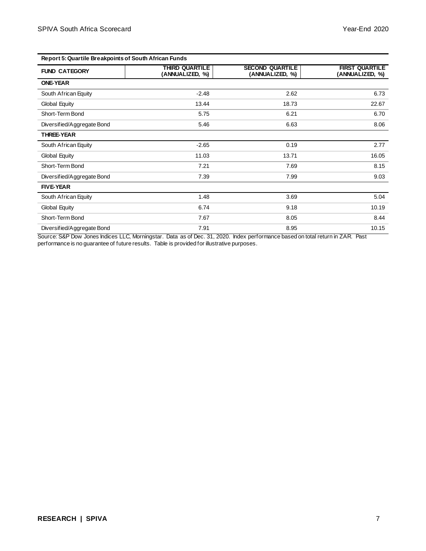| <b>Report 5: Quartile Breakpoints of South African Funds</b> |                                          |                                           |                                          |  |
|--------------------------------------------------------------|------------------------------------------|-------------------------------------------|------------------------------------------|--|
| <b>FUND CATEGORY</b>                                         | <b>THIRD QUARTILE</b><br>(ANNUALIZED, %) | <b>SECOND QUARTILE</b><br>(ANNUALIZED, %) | <b>FIRST QUARTILE</b><br>(ANNUALIZED, %) |  |
| <b>ONE-YEAR</b>                                              |                                          |                                           |                                          |  |
| South African Equity                                         | $-2.48$                                  | 2.62                                      | 6.73                                     |  |
| Global Equity                                                | 13.44                                    | 18.73                                     | 22.67                                    |  |
| Short-Term Bond                                              | 5.75                                     | 6.21                                      | 6.70                                     |  |
| Diversified/Aggregate Bond                                   | 5.46                                     | 6.63                                      | 8.06                                     |  |
| <b>THREE-YEAR</b>                                            |                                          |                                           |                                          |  |
| South African Equity                                         | $-2.65$                                  | 0.19                                      | 2.77                                     |  |
| Global Equity                                                | 11.03                                    | 13.71                                     | 16.05                                    |  |
| Short-Term Bond                                              | 7.21                                     | 7.69                                      | 8.15                                     |  |
| Diversified/Aggregate Bond                                   | 7.39                                     | 7.99                                      | 9.03                                     |  |
| <b>FIVE-YEAR</b>                                             |                                          |                                           |                                          |  |
| South African Equity                                         | 1.48                                     | 3.69                                      | 5.04                                     |  |
| Global Equity                                                | 6.74                                     | 9.18                                      | 10.19                                    |  |
| Short-Term Bond                                              | 7.67                                     | 8.05                                      | 8.44                                     |  |
| Diversified/Aggregate Bond                                   | 7.91                                     | 8.95                                      | 10.15                                    |  |

Source: S&P Dow Jones Indices LLC, Morningstar. Data as of Dec. 31, 2020. Index performance based on total return in ZAR. Past performance is no guarantee of future results. Table is provided for illustrative purposes.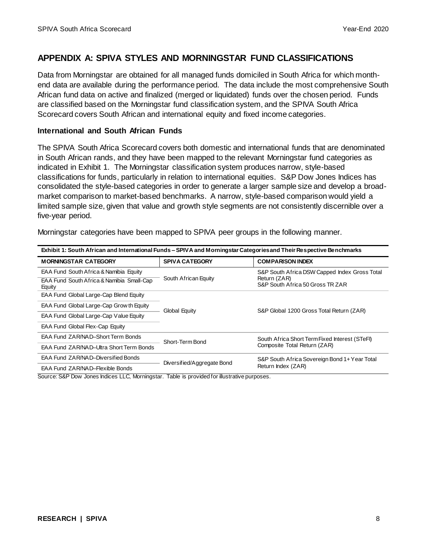## **APPENDIX A: SPIVA STYLES AND MORNINGSTAR FUND CLASSIFICATIONS**

Data from Morningstar are obtained for all managed funds domiciled in South Africa for which monthend data are available during the performance period. The data include the most comprehensive South African fund data on active and finalized (merged or liquidated) funds over the chosen period. Funds are classified based on the Morningstar fund classification system, and the SPIVA South Africa Scorecard covers South African and international equity and fixed income categories.

#### **International and South African Funds**

The SPIVA South Africa Scorecard covers both domestic and international funds that are denominated in South African rands, and they have been mapped to the relevant Morningstar fund categories as indicated in Exhibit 1. The Morningstar classification system produces narrow, style-based classifications for funds, particularly in relation to international equities. S&P Dow Jones Indices has consolidated the style-based categories in order to generate a larger sample size and develop a broadmarket comparison to market-based benchmarks. A narrow, style-based comparison would yield a limited sample size, given that value and growth style segments are not consistently discernible over a five-year period.

| Exhibit 1: South African and International Funds – SPIVA and Morningstar Categories and Their Respective Benchmarks |                            |                                                  |  |  |
|---------------------------------------------------------------------------------------------------------------------|----------------------------|--------------------------------------------------|--|--|
| <b>MORNINGSTAR CATEGORY</b>                                                                                         | <b>SPIVA CATEGORY</b>      | <b>COMPARISON INDEX</b>                          |  |  |
| EAA Fund South Africa & Namibia Equity                                                                              |                            | S&P South Africa DSW Capped Index Gross Total    |  |  |
| EAA Fund South Africa & Namibia Small-Cap<br>Equity                                                                 | South African Equity       | Return (ZAR)<br>S&P South Africa 50 Gross TR ZAR |  |  |
| EAA Fund Global Large-Cap Blend Equity                                                                              |                            | S&P Global 1200 Gross Total Return (ZAR)         |  |  |
| EAA Fund Global Large-Cap Grow th Equity                                                                            | Global Equity              |                                                  |  |  |
| EAA Fund Global Large-Cap Value Equity                                                                              |                            |                                                  |  |  |
| <b>EAA Fund Global Flex-Cap Equity</b>                                                                              |                            |                                                  |  |  |
| EAA Fund ZAR/NAD-Short Term Bonds                                                                                   | Short-Term Bond            | South Africa Short Term Fixed Interest (STeFI)   |  |  |
| EAA Fund ZAR/NAD-Ultra Short Term Bonds                                                                             |                            | Composite Total Return (ZAR)                     |  |  |
| EAA Fund ZAR/NAD-Diversified Bonds                                                                                  | Diversified/Aggregate Bond | S&P South Africa Sovereign Bond 1+ Year Total    |  |  |
| EAA Fund ZAR/NAD-Flexible Bonds                                                                                     |                            | Return Index (ZAR)                               |  |  |

Morningstar categories have been mapped to SPIVA peer groups in the following manner.

Source: S&P Dow Jones Indices LLC, Morningstar. Table is provided for illustrative purposes.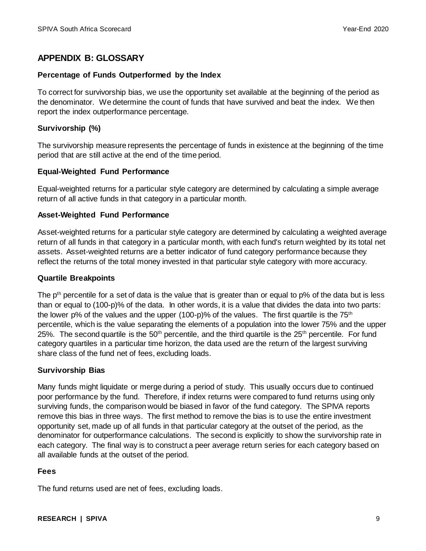## **APPENDIX B: GLOSSARY**

#### **Percentage of Funds Outperformed by the Index**

To correct for survivorship bias, we use the opportunity set available at the beginning of the period as the denominator. We determine the count of funds that have survived and beat the index. We then report the index outperformance percentage.

#### **Survivorship (%)**

The survivorship measure represents the percentage of funds in existence at the beginning of the time period that are still active at the end of the time period.

#### **Equal-Weighted Fund Performance**

Equal-weighted returns for a particular style category are determined by calculating a simple average return of all active funds in that category in a particular month.

#### **Asset-Weighted Fund Performance**

Asset-weighted returns for a particular style category are determined by calculating a weighted average return of all funds in that category in a particular month, with each fund's return weighted by its total net assets. Asset-weighted returns are a better indicator of fund category performance because they reflect the returns of the total money invested in that particular style category with more accuracy.

#### **Quartile Breakpoints**

The  $p<sup>th</sup>$  percentile for a set of data is the value that is greater than or equal to  $p\%$  of the data but is less than or equal to (100-p)% of the data. In other words, it is a value that divides the data into two parts: the lower p% of the values and the upper (100-p)% of the values. The first quartile is the  $75<sup>th</sup>$ percentile, which is the value separating the elements of a population into the lower 75% and the upper 25%. The second quartile is the  $50<sup>th</sup>$  percentile, and the third quartile is the  $25<sup>th</sup>$  percentile. For fund category quartiles in a particular time horizon, the data used are the return of the largest surviving share class of the fund net of fees, excluding loads.

#### **Survivorship Bias**

Many funds might liquidate or merge during a period of study. This usually occurs due to continued poor performance by the fund. Therefore, if index returns were compared to fund returns using only surviving funds, the comparison would be biased in favor of the fund category. The SPIVA reports remove this bias in three ways. The first method to remove the bias is to use the entire investment opportunity set, made up of all funds in that particular category at the outset of the period, as the denominator for outperformance calculations. The second is explicitly to show the survivorship rate in each category. The final way is to construct a peer average return series for each category based on all available funds at the outset of the period.

#### **Fees**

The fund returns used are net of fees, excluding loads.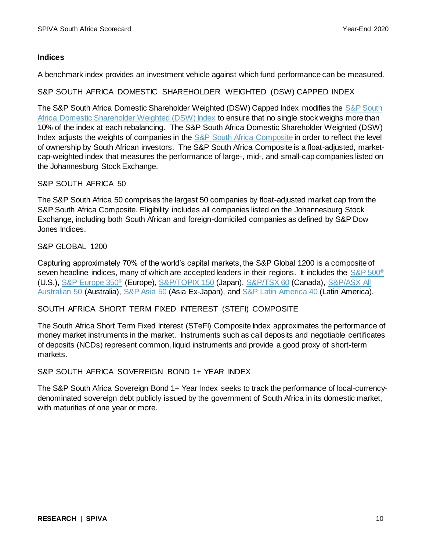#### **Indices**

A benchmark index provides an investment vehicle against which fund performance can be measured.

S&P SOUTH AFRICA DOMESTIC SHAREHOLDER WEIGHTED (DSW) CAPPED INDEX

The [S&P South](https://www.spglobal.com/spdji/en/indices/equity/sp-south-africa-domestic-shareholder-weighted-dsw-index/#overview) Africa Domestic Shareholder Weighted (DSW) Capped Index modifies the S&P South [Africa Domestic Shareholder Weighted \(DSW\) Index](https://www.spglobal.com/spdji/en/indices/equity/sp-south-africa-domestic-shareholder-weighted-dsw-index/#overview) to ensure that no single stock weighs more than 10% of the index at each rebalancing. The S&P South Africa Domestic Shareholder Weighted (DSW) Index adjusts the weights of companies in the [S&P South Africa Composite](https://www.spglobal.com/spdji/en/indices/equity/sp-south-africa-composite/#overview) in order to reflect the level of ownership by South African investors. The S&P South Africa Composite is a float-adjusted, marketcap-weighted index that measures the performance of large-, mid-, and small-cap companies listed on the Johannesburg Stock Exchange.

#### S&P SOUTH AFRICA 50

The S&P South Africa 50 comprises the largest 50 companies by float-adjusted market cap from the S&P South Africa Composite. Eligibility includes all companies listed on the Johannesburg Stock Exchange, including both South African and foreign-domiciled companies as defined by S&P Dow Jones Indices.

S&P GLOBAL 1200

Capturing approximately 70% of the world's capital markets, the [S&P Global 1200](http://spindices.com/indices/equity/sp-global-1200) is a composite of seven headline indices, many of which are accepted leaders in their regions. It includes the [S&P 500](https://www.spglobal.com/spdji/en/indices/equity/sp-500/#overview)<sup>®</sup> (U.S.), [S&P Europe 350](https://www.spglobal.com/spdji/en/indices/equity/sp-europe-350/#overview)® (Europe), [S&P/TOPIX 150](https://www.spglobal.com/spdji/en/indices/equity/sp-topix-150/#overview) (Japan), [S&P/TSX 60](https://www.spglobal.com/spdji/en/indices/equity/sp-tsx-60-index/#overview) (Canada), S&P/ASX All [Australian 50](https://www.spglobal.com/spdji/en/indices/equity/sp-asx-all-australian-50/#overview) (Australia), [S&P Asia 50](https://www.spglobal.com/spdji/en/indices/equity/sp-asia-50/#overview) (Asia Ex-Japan), and [S&P Latin America](https://www.spglobal.com/spdji/en/indices/equity/sp-latin-america-40/#overview) 40 (Latin America).

#### SOUTH AFRICA SHORT TERM FIXED INTEREST (STEFI) COMPOSITE

The South Africa Short Term Fixed Interest (STeFI) Composite Index approximates the performance of money market instruments in the market. Instruments such as call deposits and negotiable certificates of deposits (NCDs) represent common, liquid instruments and provide a good proxy of short-term markets.

#### S&P SOUTH AFRICA SOVEREIGN BOND 1+ YEAR INDEX

The S&P South Africa Sovereign Bond 1+ Year Index seeks to track the performance of local-currencydenominated sovereign debt publicly issued by the government of South Africa in its domestic market, with maturities of one year or more.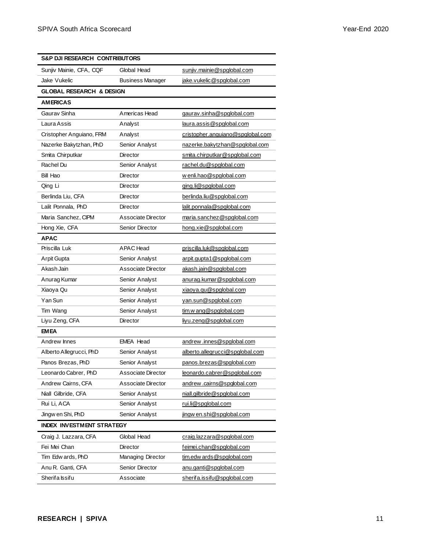| S&P DJI RESEARCH CONTRIBUTORS       |                         |                                  |  |  |  |
|-------------------------------------|-------------------------|----------------------------------|--|--|--|
| Sunjiv Mainie, CFA, CQF             | Global Head             | sunjiv.mainie@spglobal.com       |  |  |  |
| Jake Vukelic                        | <b>Business Manager</b> | jake.vukelic@spglobal.com        |  |  |  |
| <b>GLOBAL RESEARCH &amp; DESIGN</b> |                         |                                  |  |  |  |
| <b>AMERICAS</b>                     |                         |                                  |  |  |  |
| Gaurav Sinha                        | Americas Head           | gaurav.sinha@spglobal.com        |  |  |  |
| Laura Assis                         | Analyst                 | laura.assis@spglobal.com         |  |  |  |
| Cristopher Anguiano, FRM            | Analyst                 | cristopher.anguiano@spglobal.com |  |  |  |
| Nazerke Bakytzhan, PhD              | Senior Analyst          | nazerke.bakytzhan@spglobal.com   |  |  |  |
| Smita Chirputkar                    | <b>Director</b>         | smita.chirputkar@spglobal.com    |  |  |  |
| Rachel Du                           | Senior Analyst          | rachel.du@spglobal.com           |  |  |  |
| Bill Hao                            | Director                | w enli.hao@spglobal.com          |  |  |  |
| Qing Li                             | Director                | ging.li@spglobal.com             |  |  |  |
| Berlinda Liu, CFA                   | Director                | berlinda.liu@spglobal.com        |  |  |  |
| Lalit Ponnala, PhD                  | Director                | lalit.ponnala@spglobal.com       |  |  |  |
| Maria Sanchez, CIPM                 | Associate Director      | maria.sanchez@spglobal.com       |  |  |  |
| Hong Xie, CFA                       | Senior Director         | hong.xie@spglobal.com            |  |  |  |
| <b>APAC</b>                         |                         |                                  |  |  |  |
| Priscilla Luk                       | <b>APAC</b> Head        | priscilla.luk@spglobal.com       |  |  |  |
| Arpit Gupta                         | Senior Analyst          | arpit.gupta1@spglobal.com        |  |  |  |
| Akash Jain                          | Associate Director      | akash.jain@spglobal.com          |  |  |  |
| Anurag Kumar                        | Senior Analyst          | anurag.kumar@spglobal.com        |  |  |  |
| Xiaoya Qu                           | Senior Analyst          | xiaoya.qu@spglobal.com           |  |  |  |
| Yan Sun                             | Senior Analyst          | yan.sun@spglobal.com             |  |  |  |
| Tim Wang                            | Senior Analyst          | tim.w ang@spglobal.com           |  |  |  |
| Liyu Zeng, CFA                      | Director                | liyu.zeng@spglobal.com           |  |  |  |
| <b>EMEA</b>                         |                         |                                  |  |  |  |
| Andrew Innes                        | <b>EMEA Head</b>        | andrew.innes@spglobal.com        |  |  |  |
| Alberto Allegrucci, PhD             | Senior Analyst          | alberto.allegrucci@spglobal.com  |  |  |  |
| Panos Brezas, PhD                   | Senior Analyst          | panos.brezas@spglobal.com        |  |  |  |
| Leonardo Cabrer, PhD                | Associate Director      | leonardo.cabrer@spglobal.com     |  |  |  |
| Andrew Cairns, CFA                  | Associate Director      | andrew.cairns@spglobal.com       |  |  |  |
| Niall Gilbride, CFA                 | Senior Analyst          | niall.gilbride@spglobal.com      |  |  |  |
| Rui Li, ACA                         | Senior Analyst          | rui.li@spglobal.com              |  |  |  |
| Jingw en Shi, PhD                   | Senior Analyst          | jingw en.shi@spglobal.com        |  |  |  |
| <b>INDEX INVESTMENT STRATEGY</b>    |                         |                                  |  |  |  |
| Craig J. Lazzara, CFA               | Global Head             | craig.lazzara@spglobal.com       |  |  |  |
| Fei Mei Chan                        | <b>Director</b>         | feimei.chan@spglobal.com         |  |  |  |
| Tim Edw ards, PhD                   | Managing Director       | tim.edw ards@spglobal.com        |  |  |  |
| Anu R. Ganti, CFA                   | Senior Director         | anu.ganti@spglobal.com           |  |  |  |
| Sherifa Issifu                      | Associate               | sherifa.issifu@spglobal.com      |  |  |  |